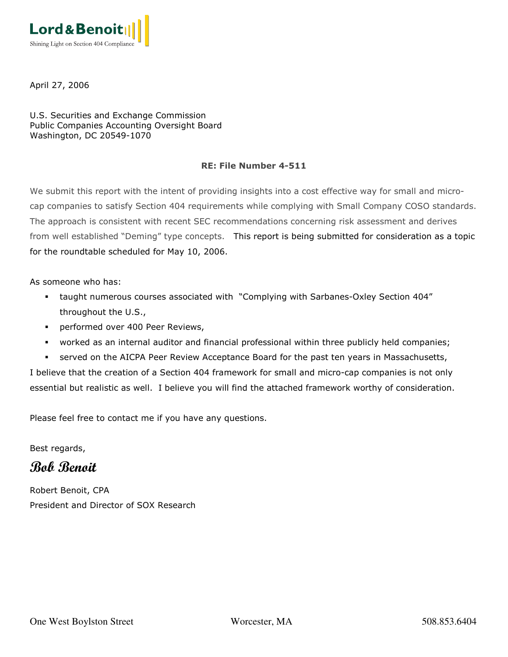

April 27, 2006

U.S. Securities and Exchange Commission Public Companies Accounting Oversight Board Washington, DC 20549-1070

#### RE: File Number 4-511

We submit this report with the intent of providing insights into a cost effective way for small and microcap companies to satisfy Section 404 requirements while complying with Small Company COSO standards. The approach is consistent with recent SEC recommendations concerning risk assessment and derives from well established "Deming" type concepts. This report is being submitted for consideration as a topic for the roundtable scheduled for May 10, 2006.

As someone who has:

- taught numerous courses associated with "Complying with Sarbanes-Oxley Section 404" throughout the U.S.,
- performed over 400 Peer Reviews,
- worked as an internal auditor and financial professional within three publicly held companies;
- served on the AICPA Peer Review Acceptance Board for the past ten years in Massachusetts,

I believe that the creation of a Section 404 framework for small and micro-cap companies is not only essential but realistic as well. I believe you will find the attached framework worthy of consideration.

Please feel free to contact me if you have any questions.

Best regards,

Bob Benoit

Robert Benoit, CPA President and Director of SOX Research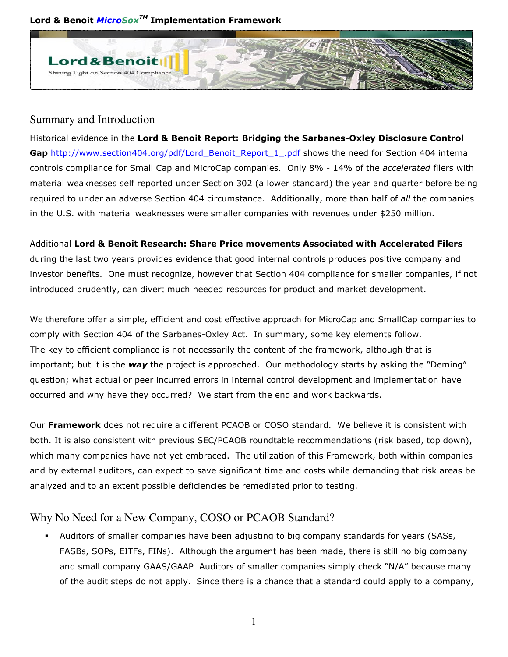Lord & Benoit *MicroSox™* Implementation Framework



## Summary and Introduction

Historical evidence in the Lord & Benoit Report: Bridging the Sarbanes-Oxley Disclosure Control Gap http://www.section404.org/pdf/Lord\_Benoit\_Report\_1\_.pdf shows the need for Section 404 internal controls compliance for Small Cap and MicroCap companies. Only 8% - 14% of the accelerated filers with material weaknesses self reported under Section 302 (a lower standard) the year and quarter before being required to under an adverse Section 404 circumstance. Additionally, more than half of all the companies in the U.S. with material weaknesses were smaller companies with revenues under \$250 million.

# Additional Lord & Benoit Research: Share Price movements Associated with Accelerated Filers

during the last two years provides evidence that good internal controls produces positive company and investor benefits. One must recognize, however that Section 404 compliance for smaller companies, if not introduced prudently, can divert much needed resources for product and market development.

We therefore offer a simple, efficient and cost effective approach for MicroCap and SmallCap companies to comply with Section 404 of the Sarbanes-Oxley Act. In summary, some key elements follow. The key to efficient compliance is not necessarily the content of the framework, although that is important; but it is the way the project is approached. Our methodology starts by asking the "Deming" question; what actual or peer incurred errors in internal control development and implementation have occurred and why have they occurred? We start from the end and work backwards.

Our Framework does not require a different PCAOB or COSO standard. We believe it is consistent with both. It is also consistent with previous SEC/PCAOB roundtable recommendations (risk based, top down), which many companies have not yet embraced. The utilization of this Framework, both within companies and by external auditors, can expect to save significant time and costs while demanding that risk areas be analyzed and to an extent possible deficiencies be remediated prior to testing.

# Why No Need for a New Company, COSO or PCAOB Standard?

 Auditors of smaller companies have been adjusting to big company standards for years (SASs, FASBs, SOPs, EITFs, FINs). Although the argument has been made, there is still no big company and small company GAAS/GAAP Auditors of smaller companies simply check "N/A" because many of the audit steps do not apply. Since there is a chance that a standard could apply to a company,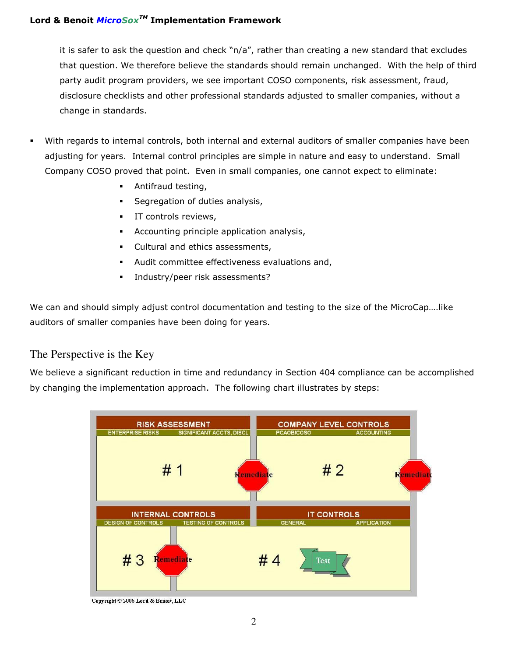it is safer to ask the question and check "n/a", rather than creating a new standard that excludes that question. We therefore believe the standards should remain unchanged. With the help of third party audit program providers, we see important COSO components, risk assessment, fraud, disclosure checklists and other professional standards adjusted to smaller companies, without a change in standards.

- With regards to internal controls, both internal and external auditors of smaller companies have been adjusting for years. Internal control principles are simple in nature and easy to understand. Small Company COSO proved that point. Even in small companies, one cannot expect to eliminate:
	- Antifraud testing,
	- Segregation of duties analysis,
	- **IT controls reviews,**
	- Accounting principle application analysis,
	- Cultural and ethics assessments,
	- Audit committee effectiveness evaluations and,
	- **Industry/peer risk assessments?**

We can and should simply adjust control documentation and testing to the size of the MicroCap....like auditors of smaller companies have been doing for years.

## The Perspective is the Key

We believe a significant reduction in time and redundancy in Section 404 compliance can be accomplished by changing the implementation approach. The following chart illustrates by steps:



Copyright © 2006 Lord & Benoit, LLC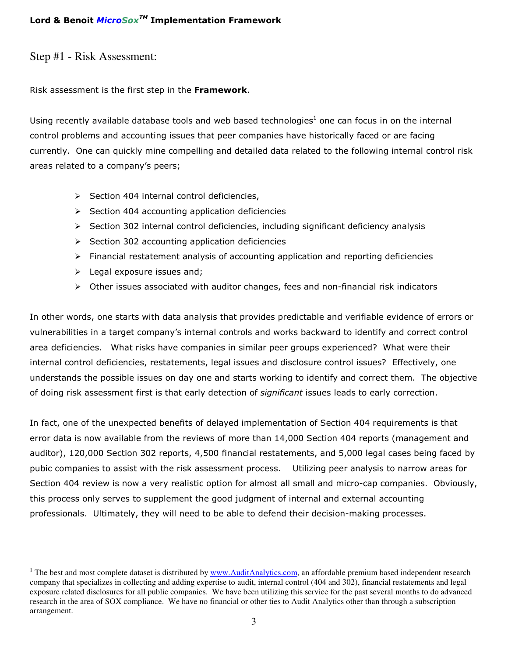Step #1 - Risk Assessment:

Risk assessment is the first step in the Framework.

Using recently available database tools and web based technologies $<sup>1</sup>$  one can focus in on the internal</sup> control problems and accounting issues that peer companies have historically faced or are facing currently. One can quickly mine compelling and detailed data related to the following internal control risk areas related to a company's peers;

- > Section 404 internal control deficiencies,
- > Section 404 accounting application deficiencies
- > Section 302 internal control deficiencies, including significant deficiency analysis
- > Section 302 accounting application deficiencies
- > Financial restatement analysis of accounting application and reporting deficiencies
- > Legal exposure issues and;
- > Other issues associated with auditor changes, fees and non-financial risk indicators

In other words, one starts with data analysis that provides predictable and verifiable evidence of errors or vulnerabilities in a target company's internal controls and works backward to identify and correct control area deficiencies. What risks have companies in similar peer groups experienced? What were their internal control deficiencies, restatements, legal issues and disclosure control issues? Effectively, one understands the possible issues on day one and starts working to identify and correct them. The objective of doing risk assessment first is that early detection of significant issues leads to early correction.

In fact, one of the unexpected benefits of delayed implementation of Section 404 requirements is that error data is now available from the reviews of more than 14,000 Section 404 reports (management and auditor), 120,000 Section 302 reports, 4,500 financial restatements, and 5,000 legal cases being faced by pubic companies to assist with the risk assessment process. Utilizing peer analysis to narrow areas for Section 404 review is now a very realistic option for almost all small and micro-cap companies. Obviously, this process only serves to supplement the good judgment of internal and external accounting professionals. Ultimately, they will need to be able to defend their decision-making processes.

<sup>&</sup>lt;sup>1</sup> The best and most complete dataset is distributed by  $\frac{www.AuditAnalytics.com}{www.AuditAnalytics.com}$ , an affordable premium based independent research company that specializes in collecting and adding expertise to audit, internal control (404 and 302), financial restatements and legal exposure related disclosures for all public companies. We have been utilizing this service for the past several months to do advanced research in the area of SOX compliance. We have no financial or other ties to Audit Analytics other than through a subscription arrangement.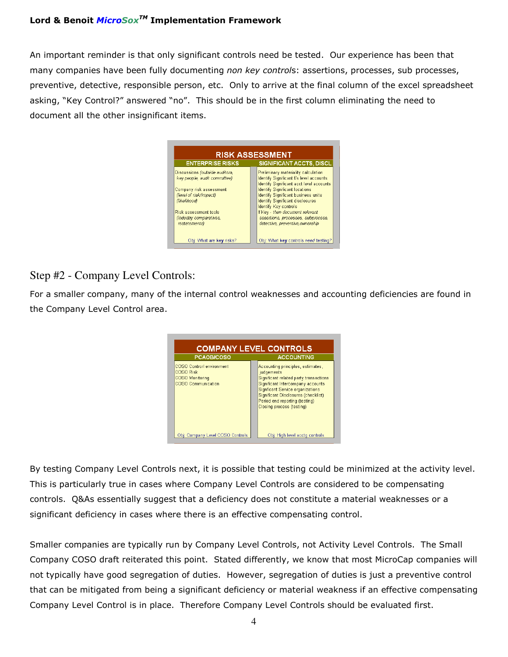### Lord & Benoit *MicroSox™* Implementation Framework

An important reminder is that only significant controls need be tested. Our experience has been that many companies have been fully documenting non key controls: assertions, processes, sub processes, preventive, detective, responsible person, etc. Only to arrive at the final column of the excel spreadsheet asking, "Key Control?" answered "no". This should be in the first column eliminating the need to document all the other insignificant items.

| Preliminary materiality calculation        |
|--------------------------------------------|
|                                            |
| Identify Significant f/s level accounts    |
| Identify Significant acct level accounts   |
| <b>Identify Significant locations</b>      |
| <b>Identify Significant business units</b> |
| <b>Identify Significant disclosures</b>    |
| Identify Key controls                      |
| If Key - then document relevant            |
| assertions, processes, subprocess,         |
| detective, preventive, ownership           |
|                                            |
|                                            |

# Step #2 - Company Level Controls:

For a smaller company, many of the internal control weaknesses and accounting deficiencies are found in the Company Level Control area.



By testing Company Level Controls next, it is possible that testing could be minimized at the activity level. This is particularly true in cases where Company Level Controls are considered to be compensating controls. Q&As essentially suggest that a deficiency does not constitute a material weaknesses or a significant deficiency in cases where there is an effective compensating control.

Smaller companies are typically run by Company Level Controls, not Activity Level Controls. The Small Company COSO draft reiterated this point. Stated differently, we know that most MicroCap companies will not typically have good segregation of duties. However, segregation of duties is just a preventive control that can be mitigated from being a significant deficiency or material weakness if an effective compensating Company Level Control is in place. Therefore Company Level Controls should be evaluated first.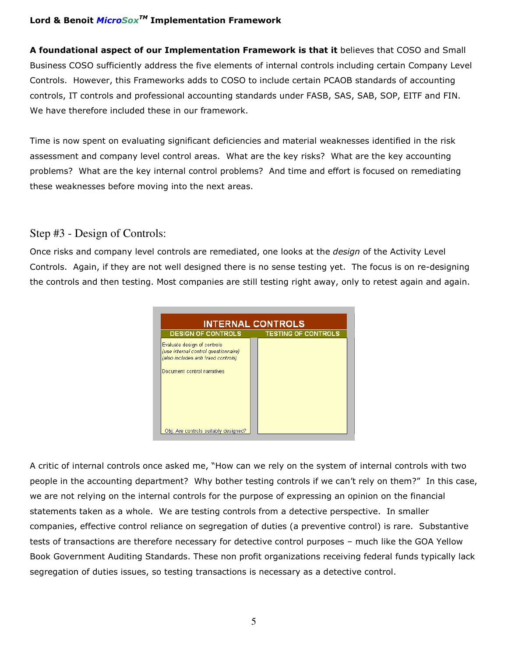### Lord & Benoit *MicroSox™* Implementation Framework

A foundational aspect of our Implementation Framework is that it believes that COSO and Small Business COSO sufficiently address the five elements of internal controls including certain Company Level Controls. However, this Frameworks adds to COSO to include certain PCAOB standards of accounting controls, IT controls and professional accounting standards under FASB, SAS, SAB, SOP, EITF and FIN. We have therefore included these in our framework.

Time is now spent on evaluating significant deficiencies and material weaknesses identified in the risk assessment and company level control areas. What are the key risks? What are the key accounting problems? What are the key internal control problems? And time and effort is focused on remediating these weaknesses before moving into the next areas.

## Step #3 - Design of Controls:

Once risks and company level controls are remediated, one looks at the *design* of the Activity Level Controls. Again, if they are not well designed there is no sense testing yet. The focus is on re-designing the controls and then testing. Most companies are still testing right away, only to retest again and again.



A critic of internal controls once asked me, "How can we rely on the system of internal controls with two people in the accounting department? Why bother testing controls if we can't rely on them?" In this case, we are not relying on the internal controls for the purpose of expressing an opinion on the financial statements taken as a whole. We are testing controls from a detective perspective. In smaller companies, effective control reliance on segregation of duties (a preventive control) is rare. Substantive tests of transactions are therefore necessary for detective control purposes – much like the GOA Yellow Book Government Auditing Standards. These non profit organizations receiving federal funds typically lack segregation of duties issues, so testing transactions is necessary as a detective control.